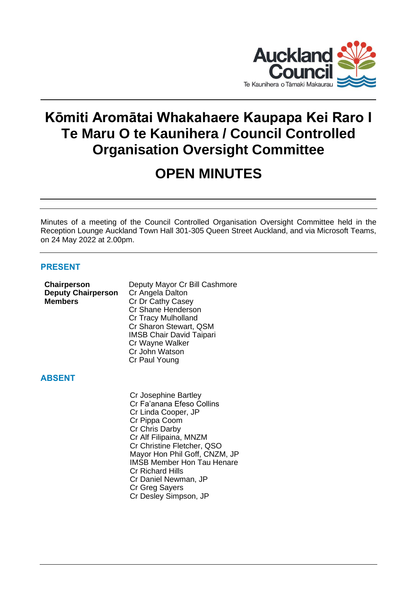

## **Kōmiti Aromātai Whakahaere Kaupapa Kei Raro I Te Maru O te Kaunihera / Council Controlled Organisation Oversight Committee**

## **OPEN MINUTES**

Minutes of a meeting of the Council Controlled Organisation Oversight Committee held in the Reception Lounge Auckland Town Hall 301-305 Queen Street Auckland, and via Microsoft Teams, on 24 May 2022 at 2.00pm.

## **PRESENT**

| Chairperson<br><b>Deputy Chairperson</b><br><b>Members</b> | Deputy Mayor Cr Bill Cashmore<br>Cr Angela Dalton<br>Cr Dr Cathy Casey<br>Cr Shane Henderson<br>Cr Tracy Mulholland<br>Cr Sharon Stewart, QSM<br><b>IMSB Chair David Taipari</b><br>Cr Wayne Walker<br>Cr John Watson |
|------------------------------------------------------------|-----------------------------------------------------------------------------------------------------------------------------------------------------------------------------------------------------------------------|
| <b>ABSENT</b>                                              | Cr Paul Young                                                                                                                                                                                                         |
|                                                            | Cr Josephine Bartley<br>Cr Fa'anana Efeso Collins<br>Cr Linda Cooper, JP<br>Cr Pippa Coom<br>Cr Chris Darby                                                                                                           |

Cr Alf Filipaina, MNZM Cr Christine Fletcher, QSO Mayor Hon Phil Goff, CNZM, JP IMSB Member Hon Tau Henare

Cr Daniel Newman, JP

Cr Desley Simpson, JP

Cr Richard Hills

Cr Greg Sayers